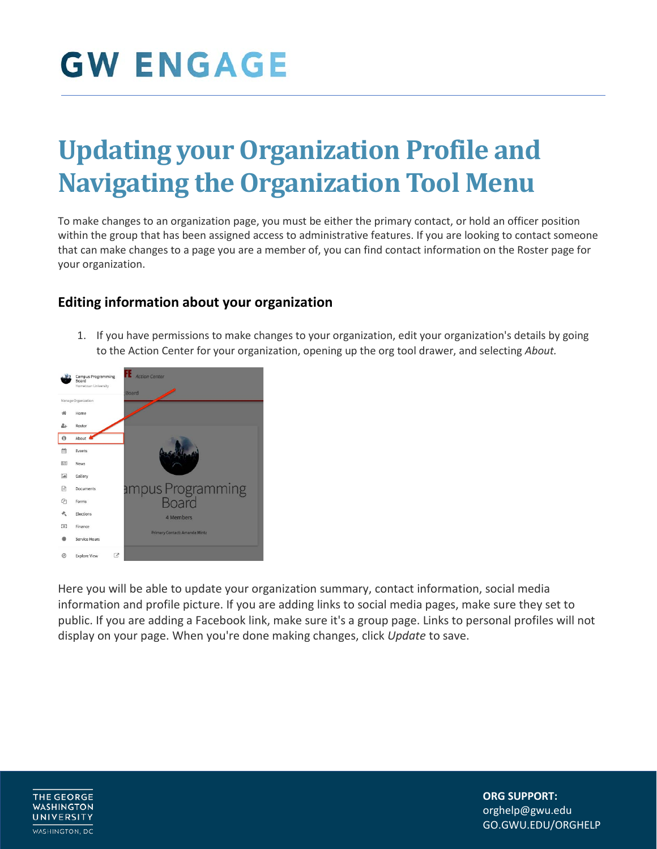### **Updating your Organization Profile and Navigating the Organization Tool Menu**

To make changes to an organization page, you must be either the primary contact, or hold an officer position within the group that has been assigned access to administrative features. If you are looking to contact someone that can make changes to a page you are a member of, you can find contact information on the Roster page for your organization.

#### **Editing information about your organization**

1. If you have permissions to make changes to your organization, edit your organization's details by going to the Action Center for your organization, opening up the org tool drawer, and selecting *About.*



Here you will be able to update your organization summary, contact information, social media information and profile picture. If you are adding links to social media pages, make sure they set to public. If you are adding a Facebook link, make sure it's a group page. Links to personal profiles will not display on your page. When you're done making changes, click *Update* to save.

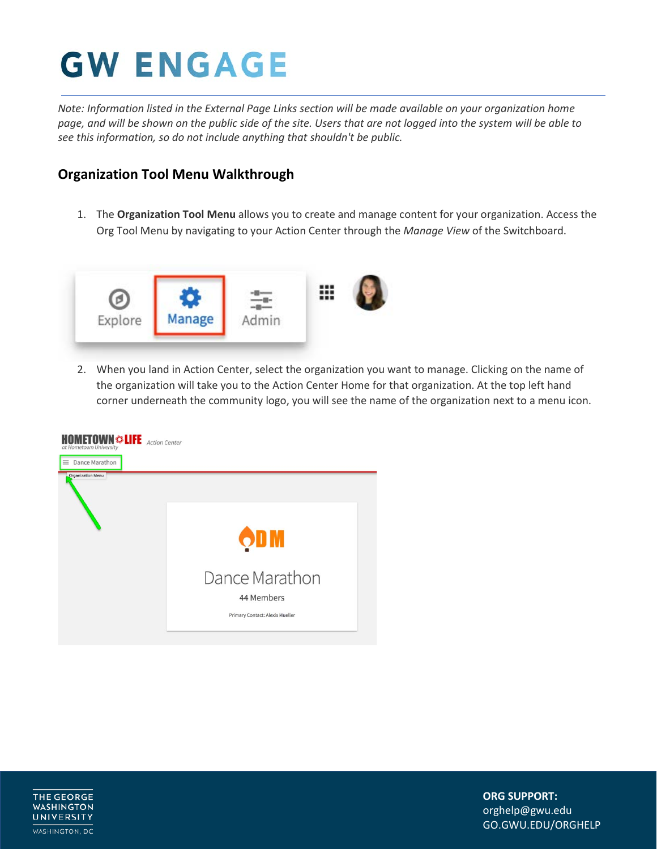*Note: Information listed in the External Page Links section will be made available on your organization home page, and will be shown on the public side of the site. Users that are not logged into the system will be able to see this information, so do not include anything that shouldn't be public.*

#### **Organization Tool Menu Walkthrough**

1. The **Organization Tool Menu** allows you to create and manage content for your organization. Access the Org Tool Menu by navigating to your Action Center through the *Manage View* of the Switchboard.



2. When you land in Action Center, select the organization you want to manage. Clicking on the name of the organization will take you to the Action Center Home for that organization. At the top left hand corner underneath the community logo, you will see the name of the organization next to a menu icon.



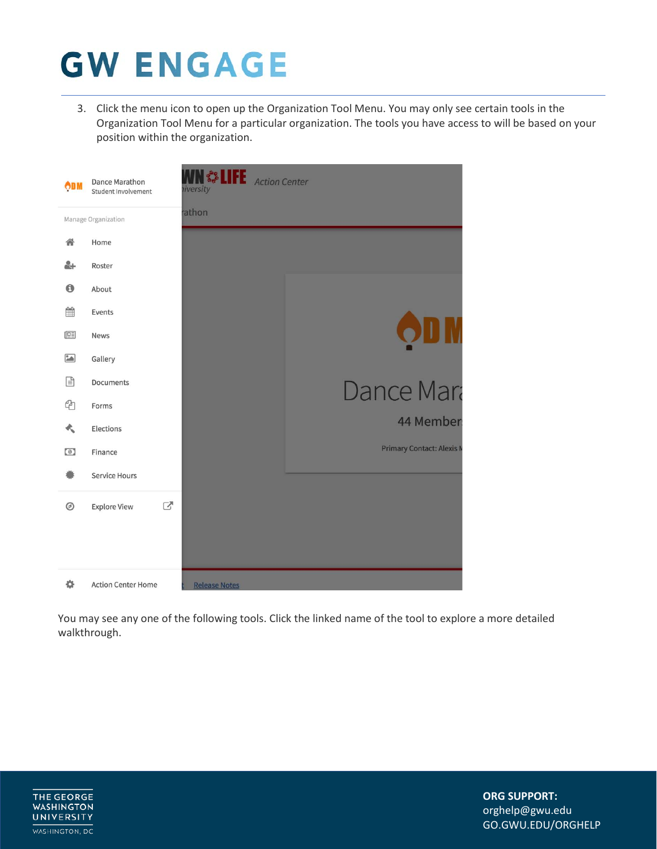3. Click the menu icon to open up the Organization Tool Menu. You may only see certain tools in the Organization Tool Menu for a particular organization. The tools you have access to will be based on your position within the organization.



You may see any one of the following tools. Click the linked name of the tool to explore a more detailed walkthrough.

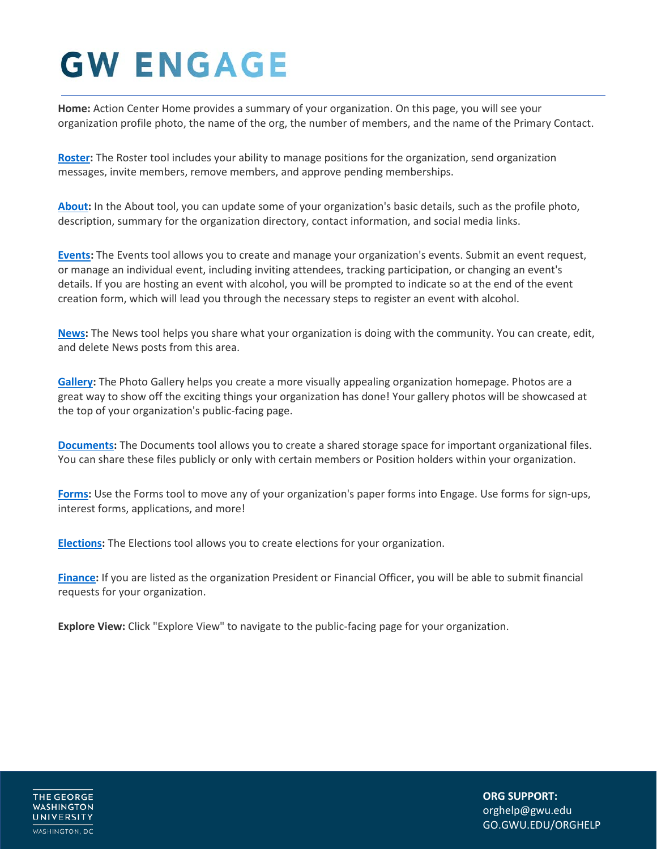**Home:** Action Center Home provides a summary of your organization. On this page, you will see your organization profile photo, the name of the org, the number of members, and the name of the Primary Contact.

**[Roster:](https://engagesupport.campuslabs.com/hc/en-us/articles/115001617606)** The Roster tool includes your ability to manage positions for the organization, send organization messages, invite members, remove members, and approve pending memberships.

**[About:](https://engagesupport.campuslabs.com/hc/en-us/articles/204033564)** In the About tool, you can update some of your organization's basic details, such as the profile photo, description, summary for the organization directory, contact information, and social media links.

**[Events:](https://engagesupport.campuslabs.com/hc/en-us/articles/115001594463)** The Events tool allows you to create and manage your organization's events. Submit an event request, or manage an individual event, including inviting attendees, tracking participation, or changing an event's details. If you are hosting an event with alcohol, you will be prompted to indicate so at the end of the event creation form, which will lead you through the necessary steps to register an event with alcohol.

**[News:](https://engagesupport.campuslabs.com/hc/en-us/articles/204032104?flash_digest=42b080bbd0cc4a1eec91baf37d3abb5aed0fce90)** The News tool helps you share what your organization is doing with the community. You can create, edit, and delete News posts from this area.

**[Gallery:](https://engagesupport.campuslabs.com/hc/en-us/articles/204033864)** The Photo Gallery helps you create a more visually appealing organization homepage. Photos are a great way to show off the exciting things your organization has done! Your gallery photos will be showcased at the top of your organization's public-facing page.

**[Documents:](https://engagesupport.campuslabs.com/hc/en-us/articles/204032404)** The Documents tool allows you to create a shared storage space for important organizational files. You can share these files publicly or only with certain members or Position holders within your organization.

**[Forms:](https://engagesupport.campuslabs.com/hc/en-us/articles/204032264)** Use the Forms tool to move any of your organization's paper forms into Engage. Use forms for sign-ups, interest forms, applications, and more!

**[Elections:](https://engagesupport.campuslabs.com/hc/en-us/articles/204033084)** The Elections tool allows you to create elections for your organization.

**[Finance:](https://engagesupport.campuslabs.com/hc/en-us/articles/204033784-Submitting-Purchase-Funding-Requests-for-Your-Organization)** If you are listed as the organization President or Financial Officer, you will be able to submit financial requests for your organization.

**Explore View:** Click "Explore View" to navigate to the public-facing page for your organization.